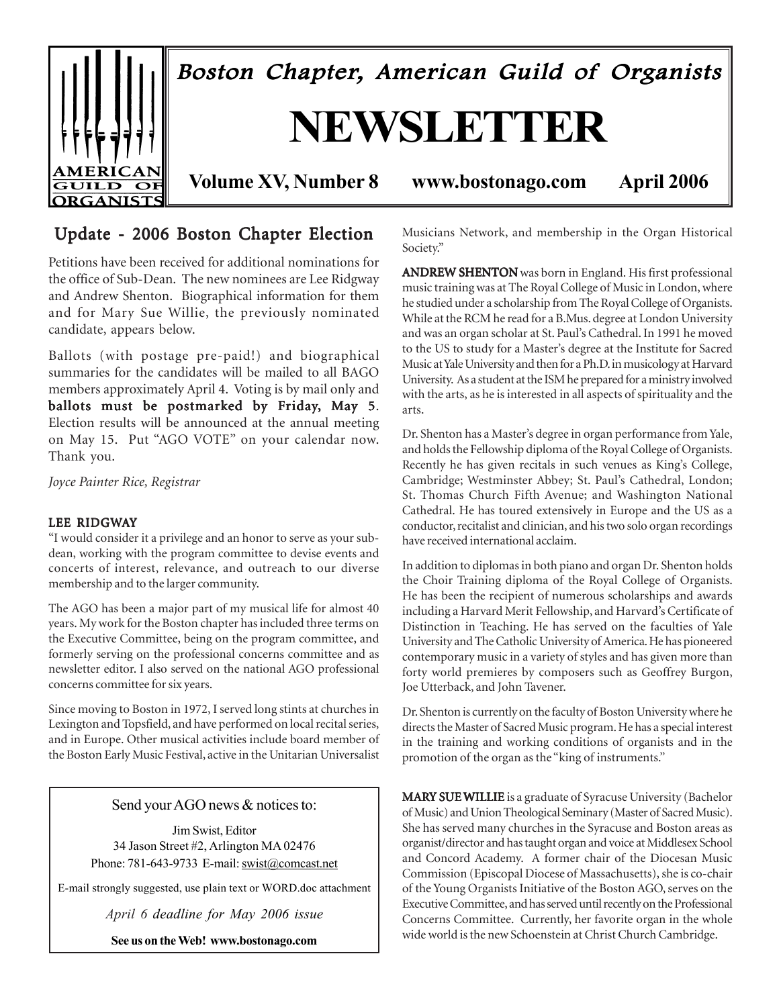

## Update - 2006 Boston Chapter Election

Petitions have been received for additional nominations for the office of Sub-Dean. The new nominees are Lee Ridgway and Andrew Shenton. Biographical information for them and for Mary Sue Willie, the previously nominated candidate, appears below.

Ballots (with postage pre-paid!) and biographical summaries for the candidates will be mailed to all BAGO members approximately April 4. Voting is by mail only and ballots must be postmarked by Friday, May 5. Election results will be announced at the annual meeting on May 15. Put "AGO VOTE" on your calendar now. Thank you.

*Joyce Painter Rice, Registrar*

#### LEE RIDGWAY

"I would consider it a privilege and an honor to serve as your subdean, working with the program committee to devise events and concerts of interest, relevance, and outreach to our diverse membership and to the larger community.

The AGO has been a major part of my musical life for almost 40 years. My work for the Boston chapter has included three terms on the Executive Committee, being on the program committee, and formerly serving on the professional concerns committee and as newsletter editor. I also served on the national AGO professional concerns committee for six years.

Since moving to Boston in 1972, I served long stints at churches in Lexington and Topsfield, and have performed on local recital series, and in Europe. Other musical activities include board member of the Boston Early Music Festival, active in the Unitarian Universalist

Send your AGO news & notices to:

Jim Swist, Editor 34 Jason Street #2, Arlington MA 02476 Phone: 781-643-9733 E-mail: swist@comcast.net

E-mail strongly suggested, use plain text or WORD.doc attachment

*April 6 deadline for May 2006 issue*

**See us on the Web! www.bostonago.com**

Musicians Network, and membership in the Organ Historical Society."

ANDREW SHENTON was born in England. His first professional music training was at The Royal College of Music in London, where he studied under a scholarship from The Royal College of Organists. While at the RCM he read for a B.Mus. degree at London University and was an organ scholar at St. Paul's Cathedral. In 1991 he moved to the US to study for a Master's degree at the Institute for Sacred Music at Yale University and then for a Ph.D. in musicology at Harvard University. As a student at the ISM he prepared for a ministry involved with the arts, as he is interested in all aspects of spirituality and the arts.

Dr. Shenton has a Master's degree in organ performance from Yale, and holds the Fellowship diploma of the Royal College of Organists. Recently he has given recitals in such venues as King's College, Cambridge; Westminster Abbey; St. Paul's Cathedral, London; St. Thomas Church Fifth Avenue; and Washington National Cathedral. He has toured extensively in Europe and the US as a conductor, recitalist and clinician, and his two solo organ recordings have received international acclaim.

In addition to diplomas in both piano and organ Dr. Shenton holds the Choir Training diploma of the Royal College of Organists. He has been the recipient of numerous scholarships and awards including a Harvard Merit Fellowship, and Harvard's Certificate of Distinction in Teaching. He has served on the faculties of Yale University and The Catholic University of America. He has pioneered contemporary music in a variety of styles and has given more than forty world premieres by composers such as Geoffrey Burgon, Joe Utterback, and John Tavener.

Dr. Shenton is currently on the faculty of Boston University where he directs the Master of Sacred Music program. He has a special interest in the training and working conditions of organists and in the promotion of the organ as the "king of instruments."

MARY SUE WILLIE is a graduate of Syracuse University (Bachelor of Music) and Union Theological Seminary (Master of Sacred Music). She has served many churches in the Syracuse and Boston areas as organist/director and has taught organ and voice at Middlesex School and Concord Academy. A former chair of the Diocesan Music Commission (Episcopal Diocese of Massachusetts), she is co-chair of the Young Organists Initiative of the Boston AGO, serves on the Executive Committee, and has served until recently on the Professional Concerns Committee. Currently, her favorite organ in the whole wide world is the new Schoenstein at Christ Church Cambridge.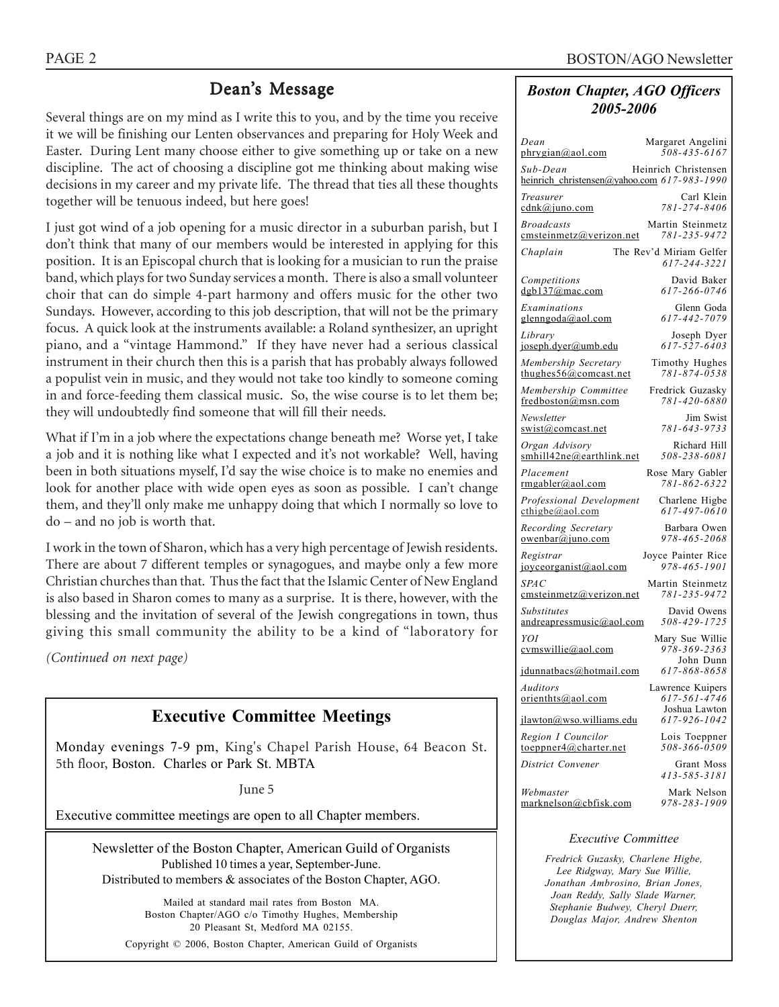## Dean's Message

Several things are on my mind as I write this to you, and by the time you receive it we will be finishing our Lenten observances and preparing for Holy Week and Easter. During Lent many choose either to give something up or take on a new discipline. The act of choosing a discipline got me thinking about making wise decisions in my career and my private life. The thread that ties all these thoughts together will be tenuous indeed, but here goes!

I just got wind of a job opening for a music director in a suburban parish, but I don't think that many of our members would be interested in applying for this position. It is an Episcopal church that is looking for a musician to run the praise band, which plays for two Sunday services a month. There is also a small volunteer choir that can do simple 4-part harmony and offers music for the other two Sundays. However, according to this job description, that will not be the primary focus. A quick look at the instruments available: a Roland synthesizer, an upright piano, and a "vintage Hammond." If they have never had a serious classical instrument in their church then this is a parish that has probably always followed a populist vein in music, and they would not take too kindly to someone coming in and force-feeding them classical music. So, the wise course is to let them be; they will undoubtedly find someone that will fill their needs.

What if I'm in a job where the expectations change beneath me? Worse yet, I take a job and it is nothing like what I expected and it's not workable? Well, having been in both situations myself, I'd say the wise choice is to make no enemies and look for another place with wide open eyes as soon as possible. I can't change them, and they'll only make me unhappy doing that which I normally so love to do – and no job is worth that.

I work in the town of Sharon, which has a very high percentage of Jewish residents. There are about 7 different temples or synagogues, and maybe only a few more Christian churches than that. Thus the fact that the Islamic Center of New England is also based in Sharon comes to many as a surprise. It is there, however, with the blessing and the invitation of several of the Jewish congregations in town, thus giving this small community the ability to be a kind of "laboratory for

*(Continued on next page)*

## **Executive Committee Meetings**

Monday evenings 7-9 pm, King's Chapel Parish House, 64 Beacon St. 5th floor, Boston. Charles or Park St. MBTA

June 5

Executive committee meetings are open to all Chapter members.

Newsletter of the Boston Chapter, American Guild of Organists Published 10 times a year, September-June. Distributed to members & associates of the Boston Chapter, AGO.

Mailed at standard mail rates from Boston MA. Boston Chapter/AGO c/o Timothy Hughes, Membership 20 Pleasant St, Medford MA 02155.

Copyright © 2006, Boston Chapter, American Guild of Organists

#### *Boston Chapter, AGO Officers 2005-2006*

| Dean<br>phrygian@aol.com                                | Margaret Angelini<br>508-435-6167                 |
|---------------------------------------------------------|---------------------------------------------------|
| Sub-Dean<br>heinrich christensen@yahoo.com 617-983-1990 | Heinrich Christensen                              |
| Treasurer<br>cdnk@juno.com                              | Carl Klein<br>781-274-8406                        |
| <b>Broadcasts</b><br>emsteinmetz@verizon.net            | Martin Steinmetz<br>781-235-9472                  |
| Chaplain                                                | The Rev'd Miriam Gelfer<br>617-244-3221           |
| Competitions<br>dgb137@mac.com                          | David Baker<br>617-266-0746                       |
| Examinations<br>glenngoda@aol.com                       | Glenn Goda<br>617-442-7079                        |
| Library<br>joseph.dyer@umb.edu                          | Joseph Dyer<br>617-527-6403                       |
| Membership Secretary<br>thughes $56$ @comcast.net       | Timothy Hughes<br>781-874-0538                    |
| Membership Committee<br>fredboston@msn.com              | Fredrick Guzasky<br>781-420-6880                  |
| Newsletter<br>swist@comcast.net                         | Jim Swist<br>781-643-9733                         |
| Organ Advisory<br>smhill42ne@earthlink.net              | Richard Hill<br>508-238-6081                      |
| Placement<br>rmgabler@aol.com                           | Rose Mary Gabler<br>781-862-6322                  |
| Professional Development<br>$\text{cthigbe}(a)$ aol.com | Charlene Higbe<br>617-497-0610                    |
| Recording Secretary<br>owenbar@juno.com                 | Barbara Owen<br>978-465-2068                      |
| Registrar<br>joyceorganist@aol.com                      | Joyce Painter Rice<br>978-465-1901                |
| <i>SPAC</i><br>emsteinmetz@verizon.net                  | Martin Steinmetz<br>781-235-9472                  |
| <i>Substitutes</i><br>andreapressmusic@aol.com          | David Owens<br>508-429-1725                       |
| YOI<br>cvmswille@aol.com                                | Mary Sue Willie<br>978-369-2363<br>John Dunn      |
| jdunnatbacs@hotmail.com                                 | 617-868-8658                                      |
| Auditors<br>orienthts@aol.com                           | Lawrence Kuipers<br>617-561-4746<br>Joshua Lawton |
| jlawton@wso.williams.edu                                | 617-926-1042                                      |
| Region I Councilor<br>toeppner4@charter.net             | Lois Toeppner<br>508-366-0509                     |
| District Convener                                       | Grant Moss<br>413-585-3181                        |
| Webmaster<br>marknelson@cbfisk.com                      | Mark Nelson<br>978-283-1909                       |
|                                                         |                                                   |

#### *Executive Committee*

*Fredrick Guzasky, Charlene Higbe, Lee Ridgway, Mary Sue Willie, Jonathan Ambrosino, Brian Jones, Joan Reddy, Sally Slade Warner, Stephanie Budwey, Cheryl Duerr, Douglas Major, Andrew Shenton*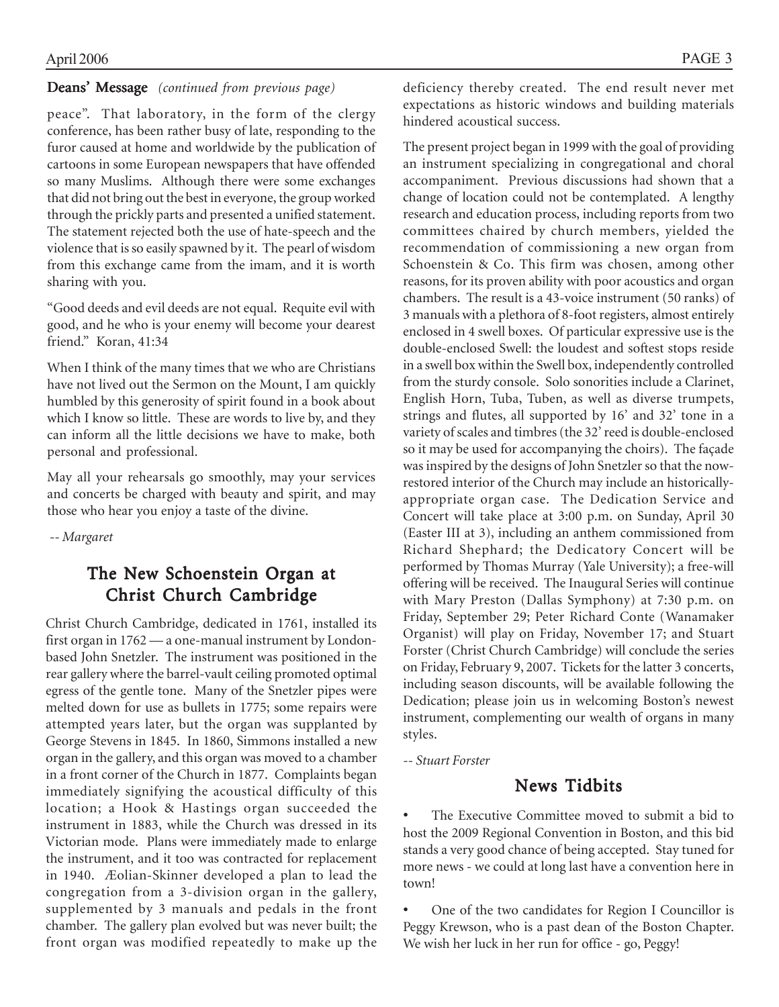#### Deans' Message *(continued from previous page)*

peace". That laboratory, in the form of the clergy conference, has been rather busy of late, responding to the furor caused at home and worldwide by the publication of cartoons in some European newspapers that have offended so many Muslims. Although there were some exchanges that did not bring out the best in everyone, the group worked through the prickly parts and presented a unified statement. The statement rejected both the use of hate-speech and the violence that is so easily spawned by it. The pearl of wisdom from this exchange came from the imam, and it is worth sharing with you.

"Good deeds and evil deeds are not equal. Requite evil with good, and he who is your enemy will become your dearest friend." Koran, 41:34

When I think of the many times that we who are Christians have not lived out the Sermon on the Mount, I am quickly humbled by this generosity of spirit found in a book about which I know so little. These are words to live by, and they can inform all the little decisions we have to make, both personal and professional.

May all your rehearsals go smoothly, may your services and concerts be charged with beauty and spirit, and may those who hear you enjoy a taste of the divine.

 *-- Margaret*

## The New Schoenstein Organ at Christ Church Cambridge

Christ Church Cambridge, dedicated in 1761, installed its first organ in 1762 — a one-manual instrument by Londonbased John Snetzler. The instrument was positioned in the rear gallery where the barrel-vault ceiling promoted optimal egress of the gentle tone. Many of the Snetzler pipes were melted down for use as bullets in 1775; some repairs were attempted years later, but the organ was supplanted by George Stevens in 1845. In 1860, Simmons installed a new organ in the gallery, and this organ was moved to a chamber in a front corner of the Church in 1877. Complaints began immediately signifying the acoustical difficulty of this location; a Hook & Hastings organ succeeded the instrument in 1883, while the Church was dressed in its Victorian mode. Plans were immediately made to enlarge the instrument, and it too was contracted for replacement in 1940. Æolian-Skinner developed a plan to lead the congregation from a 3-division organ in the gallery, supplemented by 3 manuals and pedals in the front chamber. The gallery plan evolved but was never built; the front organ was modified repeatedly to make up the deficiency thereby created. The end result never met expectations as historic windows and building materials hindered acoustical success.

The present project began in 1999 with the goal of providing an instrument specializing in congregational and choral accompaniment. Previous discussions had shown that a change of location could not be contemplated. A lengthy research and education process, including reports from two committees chaired by church members, yielded the recommendation of commissioning a new organ from Schoenstein & Co. This firm was chosen, among other reasons, for its proven ability with poor acoustics and organ chambers. The result is a 43-voice instrument (50 ranks) of 3 manuals with a plethora of 8-foot registers, almost entirely enclosed in 4 swell boxes. Of particular expressive use is the double-enclosed Swell: the loudest and softest stops reside in a swell box within the Swell box, independently controlled from the sturdy console. Solo sonorities include a Clarinet, English Horn, Tuba, Tuben, as well as diverse trumpets, strings and flutes, all supported by 16' and 32' tone in a variety of scales and timbres (the 32' reed is double-enclosed so it may be used for accompanying the choirs). The façade was inspired by the designs of John Snetzler so that the nowrestored interior of the Church may include an historicallyappropriate organ case. The Dedication Service and Concert will take place at 3:00 p.m. on Sunday, April 30 (Easter III at 3), including an anthem commissioned from Richard Shephard; the Dedicatory Concert will be performed by Thomas Murray (Yale University); a free-will offering will be received. The Inaugural Series will continue with Mary Preston (Dallas Symphony) at 7:30 p.m. on Friday, September 29; Peter Richard Conte (Wanamaker Organist) will play on Friday, November 17; and Stuart Forster (Christ Church Cambridge) will conclude the series on Friday, February 9, 2007. Tickets for the latter 3 concerts, including season discounts, will be available following the Dedication; please join us in welcoming Boston's newest instrument, complementing our wealth of organs in many styles.

*-- Stuart Forster*

## News Tidbits

The Executive Committee moved to submit a bid to host the 2009 Regional Convention in Boston, and this bid stands a very good chance of being accepted. Stay tuned for more news - we could at long last have a convention here in town!

• One of the two candidates for Region I Councillor is Peggy Krewson, who is a past dean of the Boston Chapter. We wish her luck in her run for office - go, Peggy!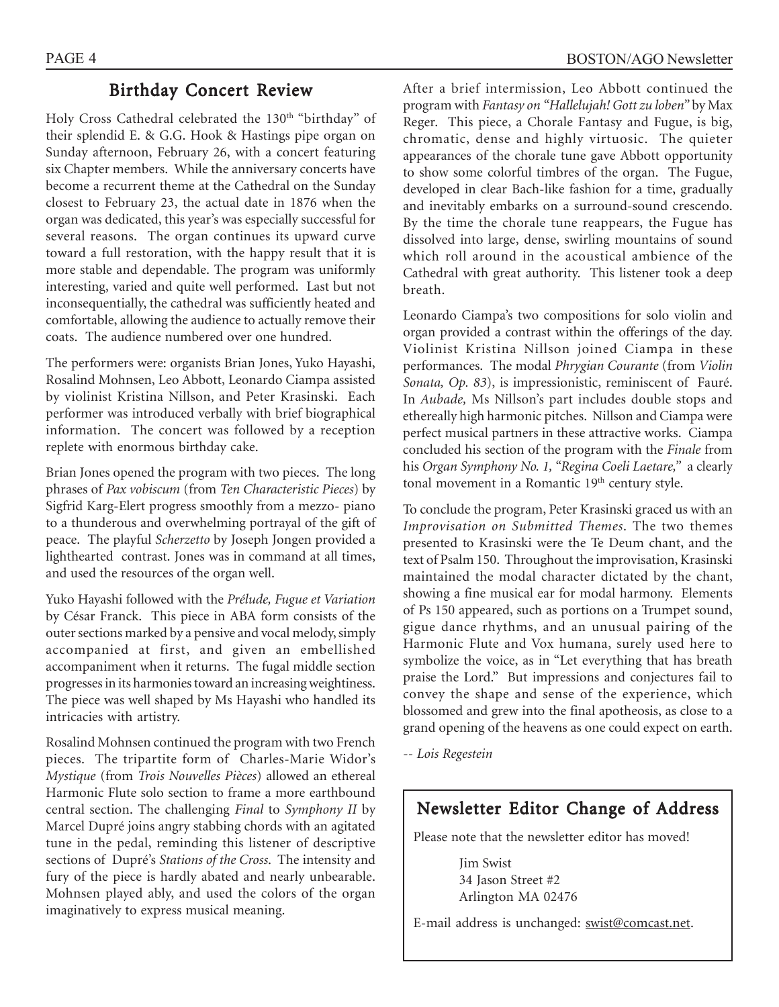## Birthday Concert Review

Holy Cross Cathedral celebrated the 130<sup>th</sup> "birthday" of their splendid E. & G.G. Hook & Hastings pipe organ on Sunday afternoon, February 26, with a concert featuring six Chapter members. While the anniversary concerts have become a recurrent theme at the Cathedral on the Sunday closest to February 23, the actual date in 1876 when the organ was dedicated, this year's was especially successful for several reasons. The organ continues its upward curve toward a full restoration, with the happy result that it is more stable and dependable. The program was uniformly interesting, varied and quite well performed. Last but not inconsequentially, the cathedral was sufficiently heated and comfortable, allowing the audience to actually remove their coats. The audience numbered over one hundred.

The performers were: organists Brian Jones, Yuko Hayashi, Rosalind Mohnsen, Leo Abbott, Leonardo Ciampa assisted by violinist Kristina Nillson, and Peter Krasinski. Each performer was introduced verbally with brief biographical information. The concert was followed by a reception replete with enormous birthday cake.

Brian Jones opened the program with two pieces. The long phrases of *Pax vobiscum* (from *Ten Characteristic Pieces*) by Sigfrid Karg-Elert progress smoothly from a mezzo- piano to a thunderous and overwhelming portrayal of the gift of peace. The playful *Scherzetto* by Joseph Jongen provided a lighthearted contrast. Jones was in command at all times, and used the resources of the organ well.

Yuko Hayashi followed with the *Prélude, Fugue et Variation* by César Franck. This piece in ABA form consists of the outer sections marked by a pensive and vocal melody, simply accompanied at first, and given an embellished accompaniment when it returns. The fugal middle section progresses in its harmonies toward an increasing weightiness. The piece was well shaped by Ms Hayashi who handled its intricacies with artistry.

Rosalind Mohnsen continued the program with two French pieces. The tripartite form of Charles-Marie Widor's *Mystique* (from *Trois Nouvelles Pièces*) allowed an ethereal Harmonic Flute solo section to frame a more earthbound central section. The challenging *Final* to *Symphony II* by Marcel Dupré joins angry stabbing chords with an agitated tune in the pedal, reminding this listener of descriptive sections of Dupré's *Stations of the Cross*. The intensity and fury of the piece is hardly abated and nearly unbearable. Mohnsen played ably, and used the colors of the organ imaginatively to express musical meaning.

After a brief intermission, Leo Abbott continued the program with *Fantasy on "Hallelujah! Gott zu loben"* by Max Reger. This piece, a Chorale Fantasy and Fugue, is big, chromatic, dense and highly virtuosic. The quieter appearances of the chorale tune gave Abbott opportunity to show some colorful timbres of the organ. The Fugue, developed in clear Bach-like fashion for a time, gradually and inevitably embarks on a surround-sound crescendo. By the time the chorale tune reappears, the Fugue has dissolved into large, dense, swirling mountains of sound which roll around in the acoustical ambience of the Cathedral with great authority. This listener took a deep breath.

Leonardo Ciampa's two compositions for solo violin and organ provided a contrast within the offerings of the day. Violinist Kristina Nillson joined Ciampa in these performances. The modal *Phrygian Courante* (from *Violin Sonata, Op. 83*), is impressionistic, reminiscent of Fauré. In *Aubade,* Ms Nillson's part includes double stops and ethereally high harmonic pitches. Nillson and Ciampa were perfect musical partners in these attractive works. Ciampa concluded his section of the program with the *Finale* from his *Organ Symphony No. 1, "Regina Coeli Laetare,"* a clearly tonal movement in a Romantic 19<sup>th</sup> century style.

To conclude the program, Peter Krasinski graced us with an *Improvisation on Submitted Themes*. The two themes presented to Krasinski were the Te Deum chant, and the text of Psalm 150. Throughout the improvisation, Krasinski maintained the modal character dictated by the chant, showing a fine musical ear for modal harmony. Elements of Ps 150 appeared, such as portions on a Trumpet sound, gigue dance rhythms, and an unusual pairing of the Harmonic Flute and Vox humana, surely used here to symbolize the voice, as in "Let everything that has breath praise the Lord." But impressions and conjectures fail to convey the shape and sense of the experience, which blossomed and grew into the final apotheosis, as close to a grand opening of the heavens as one could expect on earth.

*-- Lois Regestein*

## Newsletter Editor Change of Address

Please note that the newsletter editor has moved!

Jim Swist 34 Jason Street #2 Arlington MA 02476

E-mail address is unchanged: swist@comcast.net.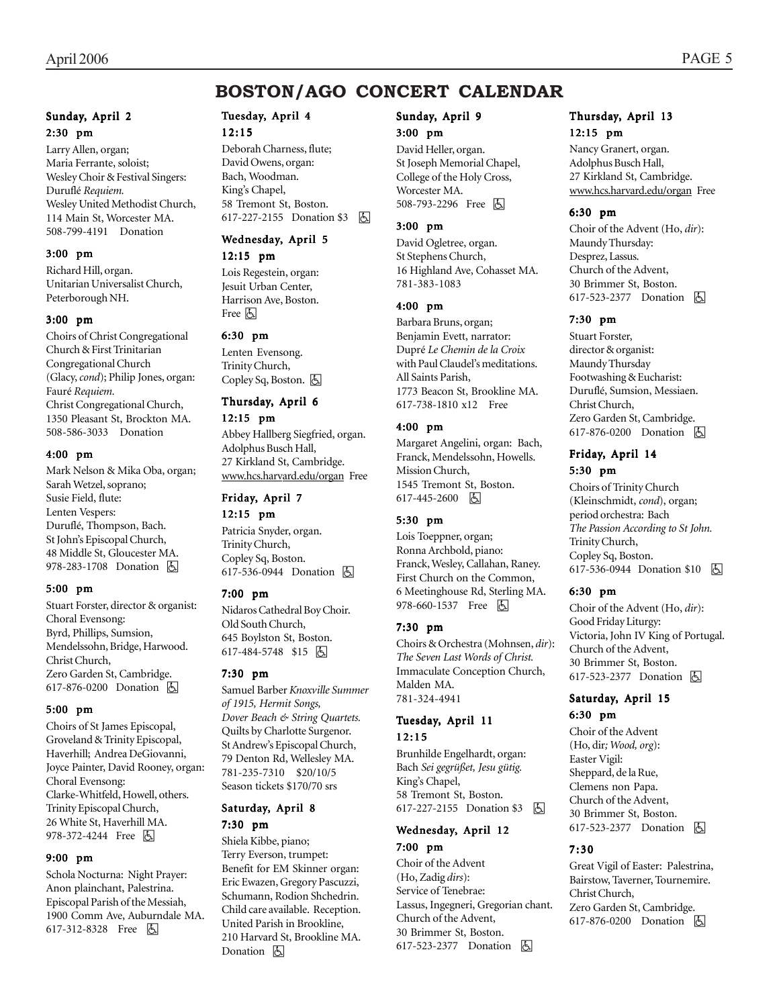## **BOSTON/AGO CONCERT CALENDAR**

#### Sunday, April 2 2:30 pm

Larry Allen, organ; Maria Ferrante, soloist; Wesley Choir & Festival Singers: Duruflé *Requiem.* Wesley United Methodist Church, 114 Main St, Worcester MA. 508-799-4191 Donation

#### 3:00 pm

Richard Hill, organ. Unitarian Universalist Church, Peterborough NH.

#### 3:00 pm

Choirs of Christ Congregational Church & First Trinitarian Congregational Church (Glacy, *cond*); Philip Jones, organ: Fauré *Requiem.* Christ Congregational Church, 1350 Pleasant St, Brockton MA. 508-586-3033 Donation

#### 4:00 pm

Mark Nelson & Mika Oba, organ; Sarah Wetzel, soprano; Susie Field, flute: Lenten Vespers: Duruflé, Thompson, Bach. St John's Episcopal Church, 48 Middle St, Gloucester MA. 978-283-1708 Donation 因

#### 5:00 pm

Stuart Forster, director & organist: Choral Evensong: Byrd, Phillips, Sumsion, Mendelssohn, Bridge, Harwood. Christ Church, Zero Garden St, Cambridge. 617-876-0200 Donation **b** 

#### 5:00 pm

Choirs of St James Episcopal, Groveland & Trinity Episcopal, Haverhill; Andrea DeGiovanni, Joyce Painter, David Rooney, organ: Choral Evensong: Clarke-Whitfeld, Howell, others. Trinity Episcopal Church, 26 White St, Haverhill MA. 978-372-4244 Free 因

#### 9:00 pm

Schola Nocturna: Night Prayer: Anon plainchant, Palestrina. Episcopal Parish of the Messiah, 1900 Comm Ave, Auburndale MA. 617-312-8328 Free 因

## Tuesday, April 4

 $12.15$ Deborah Charness, flute; David Owens, organ: Bach, Woodman. King's Chapel, 58 Tremont St, Boston. 617-227-2155 Donation \$3 | A

### Wednesday, April 5

12:15 pm

Lois Regestein, organ: Jesuit Urban Center, Harrison Ave, Boston. Free **b** 

#### 6:30 pm

Lenten Evensong. Trinity Church, Copley Sq, Boston.  $\Box$ 

#### Thursday, April 6

#### 12:15 pm

Abbey Hallberg Siegfried, organ. Adolphus Busch Hall, 27 Kirkland St, Cambridge. www.hcs.harvard.edu/organ Free

#### Friday, April 7 12:15 pm

Patricia Snyder, organ. Trinity Church, Copley Sq, Boston. 617-536-0944 Donation  $\boxed{6}$ 

#### 7:00 pm

Nidaros Cathedral Boy Choir. Old South Church, 645 Boylston St, Boston. 617-484-5748 \$15 6

#### 7:30 pm

Samuel Barber *Knoxville Summer of 1915, Hermit Songs, Dover Beach & String Quartets.* Quilts by Charlotte Surgenor. St Andrew's Episcopal Church, 79 Denton Rd, Wellesley MA. 781-235-7310 \$20/10/5 Season tickets \$170/70 srs

## Saturday, April 8

7:30 pm Shiela Kibbe, piano;

Terry Everson, trumpet: Benefit for EM Skinner organ: Eric Ewazen, Gregory Pascuzzi, Schumann, Rodion Shchedrin. Child care available. Reception. United Parish in Brookline, 210 Harvard St, Brookline MA. Donation **A** 

#### Sunday, April 9

#### 3:00 pm

David Heller, organ. St Joseph Memorial Chapel, College of the Holy Cross, Worcester MA. 508-793-2296 Free **A** 

#### 3:00 pm

David Ogletree, organ. St Stephens Church, 16 Highland Ave, Cohasset MA. 781-383-1083

#### 4:00 pm

Barbara Bruns, organ; Benjamin Evett, narrator: Dupré *Le Chemin de la Croix* with Paul Claudel's meditations. All Saints Parish, 1773 Beacon St, Brookline MA. 617-738-1810 x12 Free

#### 4:00 pm

Margaret Angelini, organ: Bach, Franck, Mendelssohn, Howells. Mission Church, 1545 Tremont St, Boston. 617-445-2600 因

#### 5:30 pm

Lois Toeppner, organ; Ronna Archbold, piano: Franck, Wesley, Callahan, Raney. First Church on the Common, 6 Meetinghouse Rd, Sterling MA. 978-660-1537 Free **b** 

#### 7:30 pm

Choirs & Orchestra (Mohnsen, *dir*): *The Seven Last Words of Christ.* Immaculate Conception Church, Malden MA. 781-324-4941

#### Tuesday, April 11 12:15

Brunhilde Engelhardt, organ: Bach *Sei gegrüßet, Jesu gütig.* King's Chapel, 58 Tremont St, Boston. 617-227-2155 Donation \$3 **b** 

#### Wednesday, April 12 7:00 pm

Choir of the Advent (Ho, Zadig *dirs*): Service of Tenebrae: Lassus, Ingegneri, Gregorian chant. Church of the Advent, 30 Brimmer St, Boston. 617-523-2377 Donation **b** 

#### Thursday, April 13 12:15 pm

Nancy Granert, organ. Adolphus Busch Hall, 27 Kirkland St, Cambridge. www.hcs.harvard.edu/organ Free

#### 6:30 pm

Choir of the Advent (Ho, *dir*): Maundy Thursday: Desprez, Lassus. Church of the Advent, 30 Brimmer St, Boston. 617-523-2377 Donation **b** 

#### 7:30 pm

Stuart Forster, director & organist: Maundy Thursday Footwashing & Eucharist: Duruflé, Sumsion, Messiaen. Christ Church, Zero Garden St, Cambridge. 617-876-0200 Donation  $\Box$ 

#### Friday, April 14 5:30 pm

Choirs of Trinity Church (Kleinschmidt, *cond*), organ; period orchestra: Bach *The Passion According to St John.* Trinity Church, Copley Sq, Boston. 617-536-0944 Donation \$10 **b** 

#### 6:30 pm

Choir of the Advent (Ho, *dir*): Good Friday Liturgy: Victoria, John IV King of Portugal. Church of the Advent, 30 Brimmer St, Boston. 617-523-2377 Donation **A** 

#### Saturday, April 15 6:30 pm

Choir of the Advent (Ho, dir*; Wood, org*): Easter Vigil: Sheppard, de la Rue, Clemens non Papa. Church of the Advent, 30 Brimmer St, Boston. 617-523-2377 Donation **b** 

#### 7:30

Great Vigil of Easter: Palestrina, Bairstow, Taverner, Tournemire. Christ Church, Zero Garden St, Cambridge. 617-876-0200 Donation  $\Box$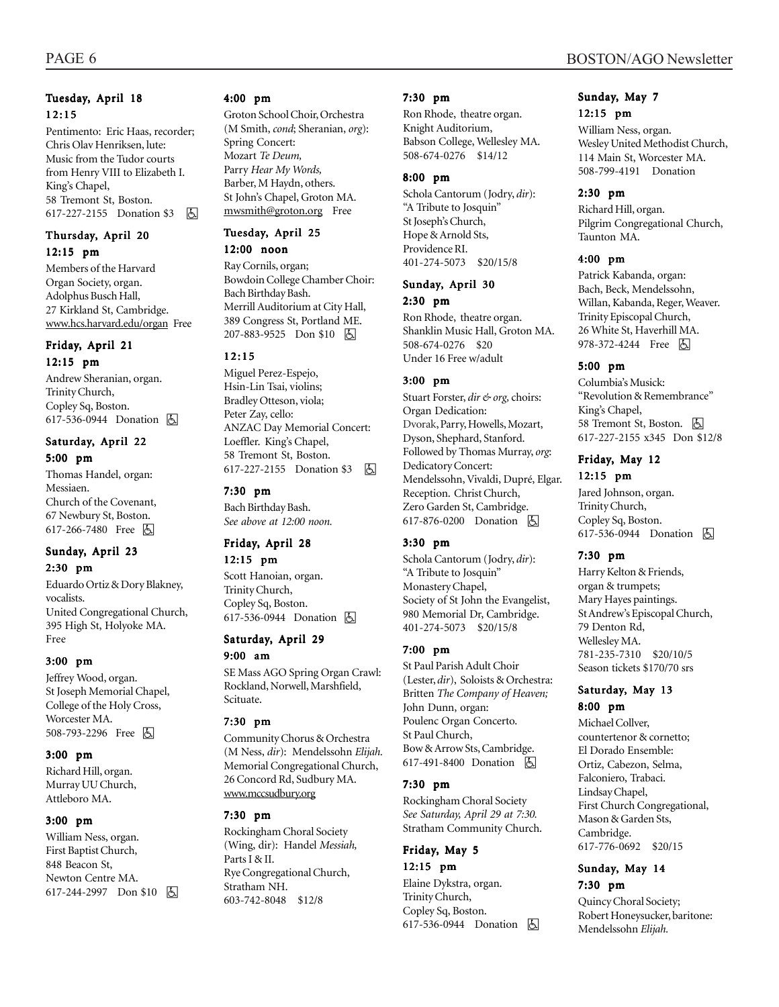#### 12:15 Pentimento: Eric Haas, recorder; Chris Olav Henriksen, lute: Music from the Tudor courts from Henry VIII to Elizabeth I. King's Chapel, 58 Tremont St, Boston. 617-227-2155 Donation \$3 | 4

#### Thursday, April 20 12:15 pm

Members of the Harvard Organ Society, organ. Adolphus Busch Hall, 27 Kirkland St, Cambridge. www.hcs.harvard.edu/organ Free

#### Friday, April 21

#### 12:15 pm

Andrew Sheranian, organ. Trinity Church, Copley Sq, Boston. 617-536-0944 Donation **b** 

#### Saturday, April 22 5:00 pm

Thomas Handel, organ: Messiaen. Church of the Covenant, 67 Newbury St, Boston. 617-266-7480 Free 因

#### Sunday, April 23 2:30 pm

Eduardo Ortiz & Dory Blakney, vocalists. United Congregational Church, 395 High St, Holyoke MA. Free

#### 3:00 pm

Jeffrey Wood, organ. St Joseph Memorial Chapel, College of the Holy Cross, Worcester MA. 508-793-2296 Free 因

#### 3:00 pm

Richard Hill, organ. Murray UU Church, Attleboro MA.

#### 3:00 pm

William Ness, organ. First Baptist Church, 848 Beacon St, Newton Centre MA. 617-244-2997 Don \$10 周

#### 4:00 pm

Groton School Choir, Orchestra (M Smith, *cond*; Sheranian, *org*): Spring Concert: Mozart *Te Deum,* Parry *Hear My Words,* Barber, M Haydn, others. St John's Chapel, Groton MA. mwsmith@groton.org Free

#### Tuesday, April 25 12:00 noon

Ray Cornils, organ; Bowdoin College Chamber Choir: Bach Birthday Bash. Merrill Auditorium at City Hall, 389 Congress St, Portland ME. 207-883-9525 Don \$10 | A

#### 12:15

Miguel Perez-Espejo, Hsin-Lin Tsai, violins; Bradley Otteson, viola; Peter Zay, cello: ANZAC Day Memorial Concert: Loeffler. King's Chapel, 58 Tremont St, Boston. 617-227-2155 Donation \$3 | 因

#### 7:30 pm

Bach Birthday Bash. *See above at 12:00 noon.*

#### Friday, April 28

12:15 pm Scott Hanoian, organ. Trinity Church, Copley Sq, Boston. 617-536-0944 Donation **A** 

#### Saturday, April 29 9:00 am

SE Mass AGO Spring Organ Crawl: Rockland, Norwell, Marshfield, Scituate.

#### 7:30 pm

Community Chorus & Orchestra (M Ness, *dir*): Mendelssohn *Elijah.* Memorial Congregational Church, 26 Concord Rd, Sudbury MA. www.mccsudbury.org

#### 7:30 pm

Rockingham Choral Society (Wing, dir): Handel *Messiah,* Parts I & II. Rye Congregational Church, Stratham NH. 603-742-8048 \$12/8

#### 7:30 pm

Ron Rhode, theatre organ. Knight Auditorium, Babson College, Wellesley MA. 508-674-0276 \$14/12

#### 8:00 pm

Schola Cantorum (Jodry, *dir*): "A Tribute to Josquin" St Joseph's Church, Hope & Arnold Sts, Providence RI. 401-274-5073 \$20/15/8

#### Sunday, April 30 2:30 pm

Ron Rhode, theatre organ. Shanklin Music Hall, Groton MA. 508-674-0276 \$20 Under 16 Free w/adult

#### 3:00 pm

Stuart Forster, *dir & org,* choirs: Organ Dedication: Dvorak, Parry, Howells, Mozart, Dyson, Shephard, Stanford. Followed by Thomas Murray, *org*: Dedicatory Concert: Mendelssohn, Vivaldi, Dupré, Elgar. Reception. Christ Church, Zero Garden St, Cambridge. 617-876-0200 Donation **A** 

#### 3:30 pm

Schola Cantorum (Jodry, *dir*): "A Tribute to Josquin" Monastery Chapel, Society of St John the Evangelist, 980 Memorial Dr, Cambridge. 401-274-5073 \$20/15/8

#### 7:00 pm

St Paul Parish Adult Choir (Lester, *dir*), Soloists & Orchestra: Britten *The Company of Heaven;* John Dunn, organ: Poulenc Organ Concerto. St Paul Church, Bow & Arrow Sts, Cambridge. 617-491-8400 Donation **A** 

#### 7:30 pm

Rockingham Choral Society *See Saturday, April 29 at 7:30.* Stratham Community Church.

## Friday, May 5

12:15 pm Elaine Dykstra, organ. Trinity Church, Copley Sq, Boston. 617-536-0944 Donation **b** 

#### Sunday, May 7 12:15 pm

William Ness, organ. Wesley United Methodist Church, 114 Main St, Worcester MA. 508-799-4191 Donation

#### 2:30 pm

Richard Hill, organ. Pilgrim Congregational Church, Taunton MA.

#### 4:00 pm

Patrick Kabanda, organ: Bach, Beck, Mendelssohn, Willan, Kabanda, Reger, Weaver. Trinity Episcopal Church, 26 White St, Haverhill MA. 978-372-4244 Free 因

#### 5:00 pm

Columbia's Musick: "Revolution & Remembrance" King's Chapel, 58 Tremont St, Boston. [5] 617-227-2155 x345 Don \$12/8

#### Friday, May 12

12:15 pm Jared Johnson, organ.

Trinity Church, Copley Sq, Boston. 617-536-0944 Donation **b** 

#### 7:30 pm

Harry Kelton & Friends, organ & trumpets; Mary Hayes paintings. St Andrew's Episcopal Church, 79 Denton Rd, Wellesley MA. 781-235-7310 \$20/10/5 Season tickets \$170/70 srs

#### Saturday, May 13 8:00 pm

Michael Collver, countertenor & cornetto; El Dorado Ensemble: Ortiz, Cabezon, Selma, Falconiero, Trabaci. Lindsay Chapel, First Church Congregational, Mason & Garden Sts, Cambridge. 617-776-0692 \$20/15

#### Sunday, May 14 7:30 pm

Quincy Choral Society; Robert Honeysucker, baritone: Mendelssohn *Elijah.*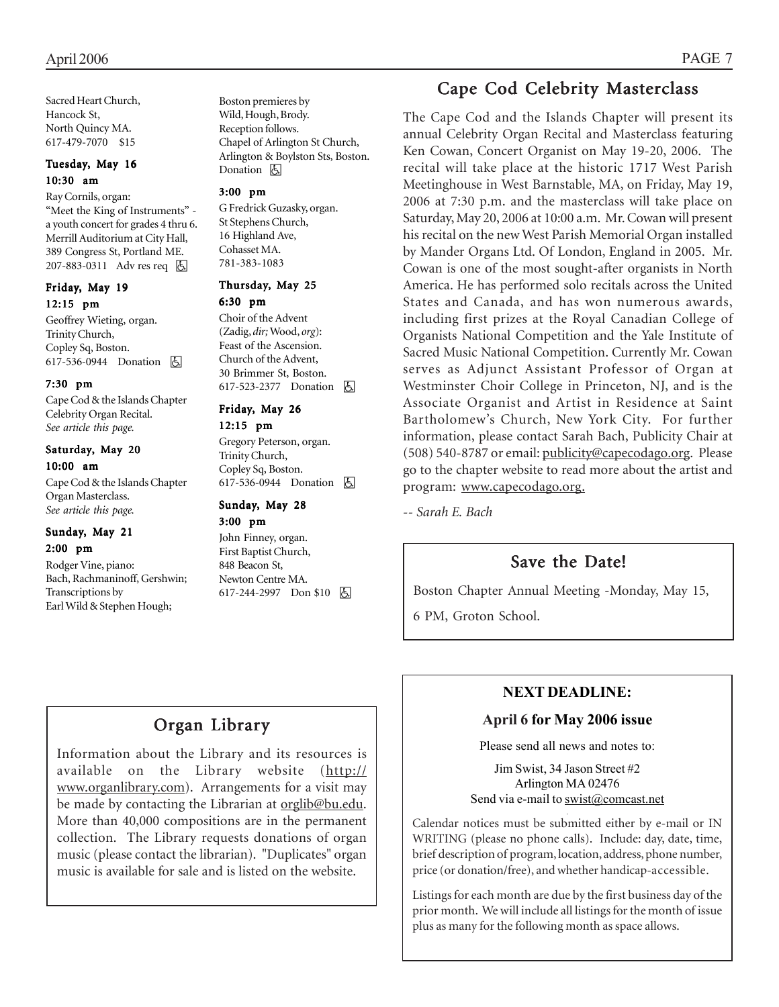Sacred Heart Church, Hancock St, North Quincy MA. 617-479-7070 \$15

#### Tuesday, May 16 10:30 am

#### Ray Cornils, organ:

"Meet the King of Instruments" a youth concert for grades 4 thru 6. Merrill Auditorium at City Hall, 389 Congress St, Portland ME. 207-883-0311 Adv res req | A

#### Friday, May 19 12:15 pm

Geoffrey Wieting, organ. Trinity Church, Copley Sq, Boston. 617-536-0944 Donation  $\Box$ 

#### 7:30 pm

Cape Cod & the Islands Chapter Celebrity Organ Recital. *See article this page.*

#### Saturday, May 20 10:00 am

Cape Cod & the Islands Chapter Organ Masterclass. *See article this page.*

#### Sunday, May 21 2:00 pm

Rodger Vine, piano: Bach, Rachmaninoff, Gershwin; Transcriptions by Earl Wild & Stephen Hough;

Boston premieres by Wild, Hough, Brody. Reception follows. Chapel of Arlington St Church, Arlington & Boylston Sts, Boston. Donation **b** 

#### 3:00 pm

G Fredrick Guzasky, organ. St Stephens Church, 16 Highland Ave, Cohasset MA. 781-383-1083

#### Thursday, May 25 6:30 pm

Choir of the Advent (Zadig, *dir;* Wood, *org*): Feast of the Ascension. Church of the Advent, 30 Brimmer St, Boston. 617-523-2377 Donation **A** 

#### Friday, May 26 12:15 pm

Gregory Peterson, organ. Trinity Church, Copley Sq, Boston. 617-536-0944 Donation **A** 

## Sunday, May 28

3:00 pm John Finney, organ. First Baptist Church, 848 Beacon St, Newton Centre MA.  $617-244-2997$  Don \$10  $\boxed{6}$ 

## Cape Cod Celebrity Masterclass

The Cape Cod and the Islands Chapter will present its annual Celebrity Organ Recital and Masterclass featuring Ken Cowan, Concert Organist on May 19-20, 2006. The recital will take place at the historic 1717 West Parish Meetinghouse in West Barnstable, MA, on Friday, May 19, 2006 at 7:30 p.m. and the masterclass will take place on Saturday, May 20, 2006 at 10:00 a.m. Mr. Cowan will present his recital on the new West Parish Memorial Organ installed by Mander Organs Ltd. Of London, England in 2005. Mr. Cowan is one of the most sought-after organists in North America. He has performed solo recitals across the United States and Canada, and has won numerous awards, including first prizes at the Royal Canadian College of Organists National Competition and the Yale Institute of Sacred Music National Competition. Currently Mr. Cowan serves as Adjunct Assistant Professor of Organ at Westminster Choir College in Princeton, NJ, and is the Associate Organist and Artist in Residence at Saint Bartholomew's Church, New York City. For further information, please contact Sarah Bach, Publicity Chair at (508) 540-8787 or email: publicity@capecodago.org. Please go to the chapter website to read more about the artist and program: www.capecodago.org.

*-- Sarah E. Bach*

## Save the Date!

Boston Chapter Annual Meeting -Monday, May 15,

6 PM, Groton School.

## Organ Library

Information about the Library and its resources is available on the Library website (http:// www.organlibrary.com). Arrangements for a visit may be made by contacting the Librarian at orglib@bu.edu. More than 40,000 compositions are in the permanent collection. The Library requests donations of organ music (please contact the librarian). "Duplicates" organ music is available for sale and is listed on the website.

## **NEXT DEADLINE:**

#### **April 6 for May 2006 issue**

Please send all news and notes to:

Jim Swist, 34 Jason Street #2 Arlington MA 02476 Send via e-mail to swist@comcast.net

.

Calendar notices must be submitted either by e-mail or IN WRITING (please no phone calls). Include: day, date, time, brief description of program, location, address, phone number, price (or donation/free), and whether handicap-accessible.

Listings for each month are due by the first business day of the prior month. We will include all listings for the month of issue plus as many for the following month as space allows.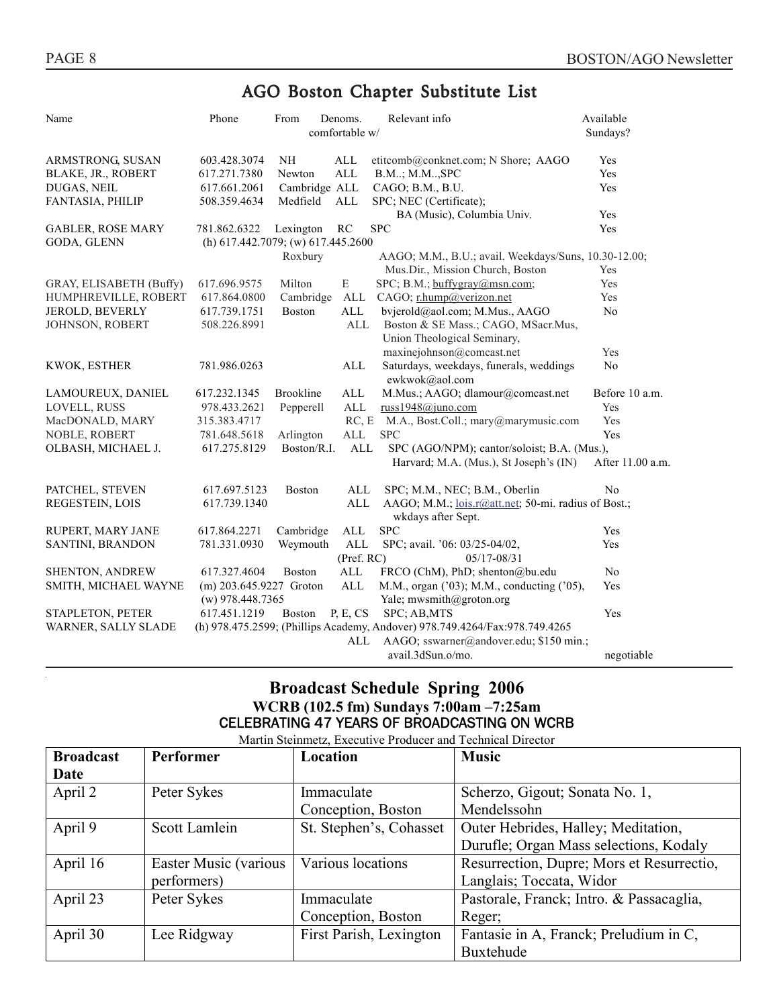## AGO Boston Chapter Substitute List

| Name                                                                                               | Phone                                                                                    | From          | Denoms.        | Relevant info                                             | Available        |
|----------------------------------------------------------------------------------------------------|------------------------------------------------------------------------------------------|---------------|----------------|-----------------------------------------------------------|------------------|
|                                                                                                    |                                                                                          |               | comfortable w/ |                                                           | Sundays?         |
| ARMSTRONG, SUSAN                                                                                   | 603.428.3074                                                                             | <b>NH</b>     | <b>ALL</b>     | etitcomb@conknet.com; N Shore; AAGO                       | Yes              |
| BLAKE, JR., ROBERT                                                                                 | 617.271.7380                                                                             | Newton        | $\mbox{ALL}$   | B.M; M.M, SPC                                             | Yes              |
| DUGAS, NEIL                                                                                        | 617.661.2061                                                                             | Cambridge ALL |                | CAGO; B.M., B.U.                                          | Yes              |
| FANTASIA, PHILIP                                                                                   | 508.359.4634                                                                             | Medfield      | $\mbox{ALL}$   | SPC; NEC (Certificate);                                   |                  |
|                                                                                                    |                                                                                          |               |                | BA (Music), Columbia Univ.                                | Yes              |
| <b>GABLER, ROSE MARY</b>                                                                           | 781.862.6322                                                                             | Lexington     | RC             | <b>SPC</b>                                                | Yes              |
| GODA, GLENN                                                                                        | (h) 617.442.7079; (w) 617.445.2600                                                       |               |                |                                                           |                  |
|                                                                                                    |                                                                                          | Roxbury       |                | AAGO; M.M., B.U.; avail. Weekdays/Suns, 10.30-12.00;      |                  |
|                                                                                                    |                                                                                          |               |                | Mus.Dir., Mission Church, Boston                          | Yes              |
| GRAY, ELISABETH (Buffy)                                                                            | 617.696.9575                                                                             | Milton        | E              | $SPC$ ; B.M.; buffygray@msn.com;                          | Yes              |
| HUMPHREVILLE, ROBERT                                                                               | 617.864.0800                                                                             | Cambridge     | ALL            | CAGO; r.hump@verizon.net                                  | Yes              |
| <b>JEROLD, BEVERLY</b>                                                                             | 617.739.1751                                                                             | Boston        | ALL            | bvjerold@aol.com; M.Mus., AAGO                            | N <sub>0</sub>   |
| JOHNSON, ROBERT                                                                                    | 508.226.8991                                                                             |               | ALL            | Boston & SE Mass.; CAGO, MSacr.Mus,                       |                  |
|                                                                                                    |                                                                                          |               |                | Union Theological Seminary,                               |                  |
|                                                                                                    |                                                                                          |               |                | maxinejohnson@comcast.net                                 | Yes              |
| KWOK, ESTHER                                                                                       | 781.986.0263                                                                             |               | ALL            | Saturdays, weekdays, funerals, weddings<br>ewkwok@aol.com | No               |
| LAMOUREUX, DANIEL                                                                                  | 617.232.1345                                                                             | Brookline     | <b>ALL</b>     | M.Mus.; AAGO; dlamour@comcast.net                         | Before 10 a.m.   |
| LOVELL, RUSS                                                                                       | 978.433.2621                                                                             | Pepperell     | ALL            | russ1948@juno.com                                         | Yes              |
| MacDONALD, MARY                                                                                    | 315.383.4717                                                                             |               | RC, E          | M.A., Bost.Coll.; mary@marymusic.com                      | Yes              |
| NOBLE, ROBERT                                                                                      | 781.648.5618                                                                             | Arlington     | ALL            | <b>SPC</b>                                                | Yes              |
| OLBASH, MICHAEL J.                                                                                 | Boston/R.I.<br><b>ALL</b><br>SPC (AGO/NPM); cantor/soloist; B.A. (Mus.),<br>617.275.8129 |               |                |                                                           |                  |
|                                                                                                    |                                                                                          |               |                | Harvard; M.A. (Mus.), St Joseph's (IN)                    | After 11.00 a.m. |
| PATCHEL, STEVEN                                                                                    | 617.697.5123                                                                             | <b>Boston</b> | ALL            | SPC; M.M., NEC; B.M., Oberlin                             | No               |
| REGESTEIN, LOIS                                                                                    | 617.739.1340                                                                             |               | <b>ALL</b>     | AAGO; M.M.; lois.r@att.net; 50-mi. radius of Bost.;       |                  |
|                                                                                                    |                                                                                          |               |                | wkdays after Sept.                                        |                  |
| RUPERT, MARY JANE                                                                                  | 617.864.2271                                                                             | Cambridge     | ALL            | <b>SPC</b>                                                | Yes              |
| SANTINI, BRANDON                                                                                   | 781.331.0930                                                                             | Weymouth      | <b>ALL</b>     | SPC; avail. '06: 03/25-04/02,                             | Yes              |
|                                                                                                    |                                                                                          |               | (Pref. RC)     | 05/17-08/31                                               |                  |
| <b>SHENTON, ANDREW</b>                                                                             | 617.327.4604                                                                             | <b>Boston</b> | ALL            | FRCO (ChM), PhD; shenton@bu.edu                           | N <sub>0</sub>   |
| SMITH, MICHAEL WAYNE                                                                               | $(m)$ 203.645.9227 Groton                                                                |               | $\mbox{ALL}$   | M.M., organ ('03); M.M., conducting ('05),                | Yes              |
|                                                                                                    | $(w)$ 978.448.7365                                                                       |               |                | Yale; mwsmith@groton.org                                  |                  |
| STAPLETON, PETER                                                                                   | 617.451.1219                                                                             | <b>Boston</b> | P, E, CS       | SPC; AB, MTS                                              | Yes              |
| (h) 978.475.2599; (Phillips Academy, Andover) 978.749.4264/Fax:978.749.4265<br>WARNER, SALLY SLADE |                                                                                          |               |                |                                                           |                  |
|                                                                                                    |                                                                                          |               | ALL            | AAGO; sswarner@andover.edu; \$150 min.;                   |                  |
|                                                                                                    |                                                                                          |               |                | avail.3dSun.o/mo.                                         | negotiable       |
|                                                                                                    |                                                                                          |               |                |                                                           |                  |

#### **Broadcast Schedule Spring 2006 WCRB (102.5 fm) Sundays 7:00am –7:25am**  CELEBRATING 47 YEARS OF BROADCASTING ON WCRB

Martin Steinmetz, Executive Producer and Technical Director

| <b>Broadcast</b> | Performer             | Location                | <b>Music</b>                              |
|------------------|-----------------------|-------------------------|-------------------------------------------|
| Date             |                       |                         |                                           |
| April 2          | Peter Sykes           | Immaculate              | Scherzo, Gigout; Sonata No. 1,            |
|                  |                       | Conception, Boston      | Mendelssohn                               |
| April 9          | Scott Lamlein         | St. Stephen's, Cohasset | Outer Hebrides, Halley; Meditation,       |
|                  |                       |                         | Durufle; Organ Mass selections, Kodaly    |
| April 16         | Easter Music (various | Various locations       | Resurrection, Dupre; Mors et Resurrectio, |
|                  | performers)           |                         | Langlais; Toccata, Widor                  |
| April 23         | Peter Sykes           | Immaculate              | Pastorale, Franck; Intro. & Passacaglia,  |
|                  |                       | Conception, Boston      | Reger;                                    |
| April 30         | Lee Ridgway           | First Parish, Lexington | Fantasie in A, Franck; Preludium in C,    |
|                  |                       |                         | Buxtehude                                 |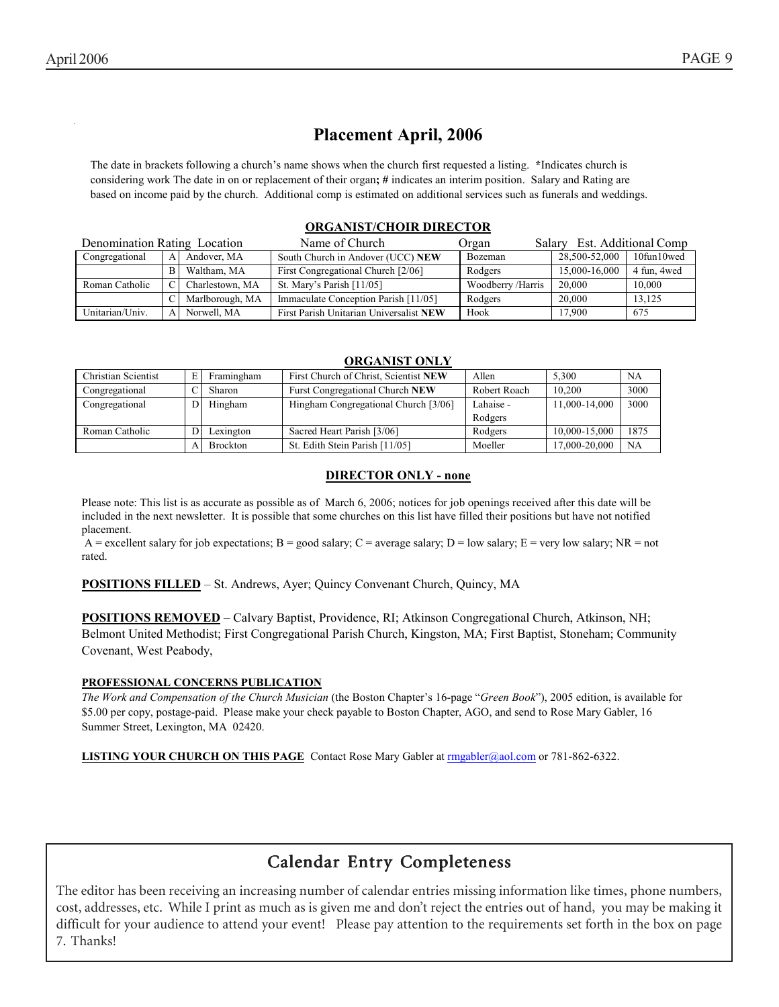## **Placement April, 2006**

 The date in brackets following a church's name shows when the church first requested a listing. **\***Indicates church is considering work The date in on or replacement of their organ**; #** indicates an interim position. Salary and Rating are based on income paid by the church. Additional comp is estimated on additional services such as funerals and weddings.

#### **ORGANIST/CHOIR DIRECTOR**

| Denomination Rating Location |              |                 | Name of Church                          | Salary Est. Additional Comp<br>Organ |               |              |
|------------------------------|--------------|-----------------|-----------------------------------------|--------------------------------------|---------------|--------------|
| Congregational               | $\mathbf{A}$ | Andover, MA     | South Church in Andover (UCC) NEW       | Bozeman                              | 28.500-52.000 | 10fun10wed   |
|                              | <sub>B</sub> | Waltham, MA     | First Congregational Church [2/06]      | Rodgers                              | 15,000-16,000 | 4 fun, 4 wed |
| Roman Catholic               |              | Charlestown, MA | St. Mary's Parish [11/05]               | Woodberry/Harris                     | 20,000        | 10.000       |
|                              |              | Marlborough, MA | Immaculate Conception Parish [11/05]    | Rodgers                              | 20,000        | 13.125       |
| Unitarian/Univ.              |              | Norwell, MA     | First Parish Unitarian Universalist NEW | Hook                                 | 17.900        | 675          |

#### **ORGANIST ONLY**

| Christian Scientist | Framingham      | First Church of Christ, Scientist NEW | Allen        | 5.300         | <b>NA</b> |
|---------------------|-----------------|---------------------------------------|--------------|---------------|-----------|
| Congregational      | Sharon          | Furst Congregational Church NEW       | Robert Roach | 10.200        | 3000      |
| Congregational      | Hingham         | Hingham Congregational Church [3/06]  | Lahaise -    | 11,000-14,000 | 3000      |
|                     |                 |                                       | Rodgers      |               |           |
| Roman Catholic      | Lexington       | Sacred Heart Parish [3/06]            | Rodgers      | 10.000-15.000 | 1875      |
|                     | <b>Brockton</b> | St. Edith Stein Parish [11/05]        | Moeller      | 17.000-20.000 | NA        |

#### **DIRECTOR ONLY - none**

Please note: This list is as accurate as possible as of March 6, 2006; notices for job openings received after this date will be included in the next newsletter. It is possible that some churches on this list have filled their positions but have not notified placement.

A = excellent salary for job expectations; B = good salary; C = average salary; D = low salary; E = very low salary; NR = not rated.

**POSITIONS FILLED** – St. Andrews, Ayer; Quincy Convenant Church, Quincy, MA

**POSITIONS REMOVED** – Calvary Baptist, Providence, RI; Atkinson Congregational Church, Atkinson, NH; Belmont United Methodist; First Congregational Parish Church, Kingston, MA; First Baptist, Stoneham; Community Covenant, West Peabody,

#### **PROFESSIONAL CONCERNS PUBLICATION**

*The Work and Compensation of the Church Musician* (the Boston Chapter's 16-page "*Green Book*"), 2005 edition, is available for \$5.00 per copy, postage-paid. Please make your check payable to Boston Chapter, AGO, and send to Rose Mary Gabler, 16 Summer Street, Lexington, MA 02420.

**LISTING YOUR CHURCH ON THIS PAGE** Contact Rose Mary Gabler at rmgabler@aol.com or 781-862-6322.

## Calendar Entry Completeness

The editor has been receiving an increasing number of calendar entries missing information like times, phone numbers, cost, addresses, etc. While I print as much as is given me and don't reject the entries out of hand, you may be making it difficult for your audience to attend your event! Please pay attention to the requirements set forth in the box on page 7. Thanks!